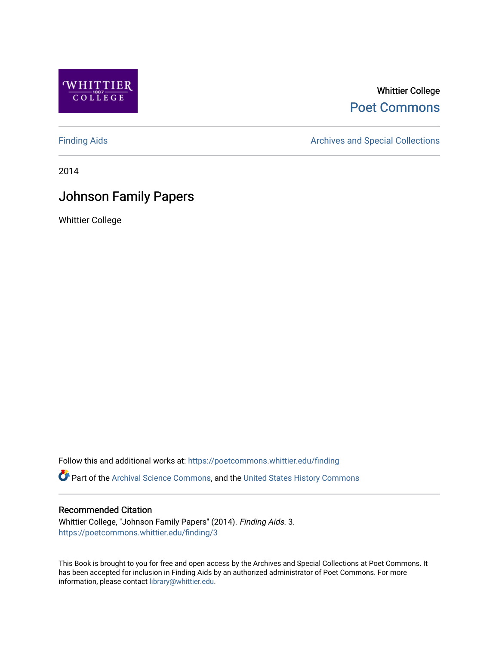

# Whittier College [Poet Commons](https://poetcommons.whittier.edu/)

[Finding Aids](https://poetcommons.whittier.edu/finding) **Archives and Special Collections** Archives and Special Collections

2014

# Johnson Family Papers

Whittier College

Follow this and additional works at: [https://poetcommons.whittier.edu/finding](https://poetcommons.whittier.edu/finding?utm_source=poetcommons.whittier.edu%2Ffinding%2F3&utm_medium=PDF&utm_campaign=PDFCoverPages) 

Part of the [Archival Science Commons,](http://network.bepress.com/hgg/discipline/1021?utm_source=poetcommons.whittier.edu%2Ffinding%2F3&utm_medium=PDF&utm_campaign=PDFCoverPages) and the [United States History Commons](http://network.bepress.com/hgg/discipline/495?utm_source=poetcommons.whittier.edu%2Ffinding%2F3&utm_medium=PDF&utm_campaign=PDFCoverPages)

# Recommended Citation

Whittier College, "Johnson Family Papers" (2014). Finding Aids. 3. [https://poetcommons.whittier.edu/finding/3](https://poetcommons.whittier.edu/finding/3?utm_source=poetcommons.whittier.edu%2Ffinding%2F3&utm_medium=PDF&utm_campaign=PDFCoverPages)

This Book is brought to you for free and open access by the Archives and Special Collections at Poet Commons. It has been accepted for inclusion in Finding Aids by an authorized administrator of Poet Commons. For more information, please contact [library@whittier.edu.](mailto:library@whittier.edu)